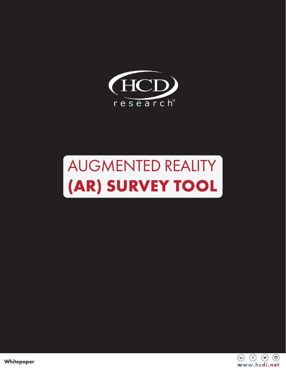

# AUGMENTED REALITY **(AR) SURVEY TOOL**



**Whitepaper**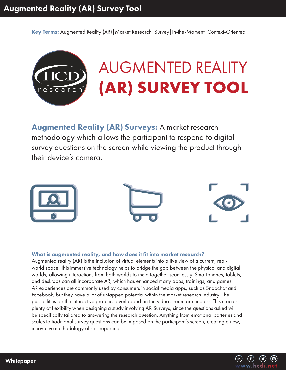Key Terms: Augmented Reality (AR) | Market Research | Survey | In-the-Moment | Context-Oriented

# AUGMENTED REALITY **(AR) SURVEY TOOL** earch

Augmented Reality (AR) Surveys: A market research methodology which allows the participant to respond to digital survey questions on the screen while viewing the product through their device's camera.



## What is augmented reality, and how does it fit into market research?

Augmented reality (AR) is the inclusion of virtual elements into a live view of a current, realworld space. This immersive technology helps to bridge the gap between the physical and digital worlds, allowing interactions from both worlds to meld together seamlessly. Smartphones, tablets, and desktops can all incorporate AR, which has enhanced many apps, trainings, and games. AR experiences are commonly used by consumers in social media apps, such as Snapchat and Facebook, but they have a lot of untapped potential within the market research industry. The possibilities for the interactive graphics overlapped on the video stream are endless. This creates plenty of flexibility when designing a study involving AR Surveys, since the questions asked will be specifically tailored to answering the research question. Anything from emotional batteries and scales to traditional survey questions can be imposed on the participant's screen, creating a new, innovative methodology of self-reporting.

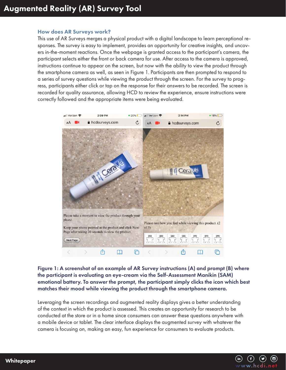## How does AR Surveys work?

This use of AR Surveys merges a physical product with a digital landscape to learn perceptional responses. The survey is easy to implement, provides an opportunity for creative insights, and uncovers in-the-moment reactions. Once the webpage is granted access to the participant's camera, the participant selects either the front or back camera for use. After access to the camera is approved, instructions continue to appear on the screen, but now with the ability to view the product through the smartphone camera as well, as seen in Figure 1. Participants are then prompted to respond to a series of survey questions while viewing the product through the screen. For the survey to progress, participants either click or tap on the response for their answers to be recorded. The screen is recorded for quality assurance, allowing HCD to review the experience, ensure instructions were correctly followed and the appropriate items were being evaluated.



Figure 1: A screenshot of an example of AR Survey instructions (A) and prompt (B) where the participant is evaluating an eye-cream via the Self-Assessment Manikin (SAM) emotional battery. To answer the prompt, the participant simply clicks the icon which best matches their mood while viewing the product through the smartphone camera.

Leveraging the screen recordings and augmented reality displays gives a better understanding of the context in which the product is assessed. This creates an opportunity for research to be conducted at the store or in a home since consumers can answer these questions anywhere with a mobile device or tablet. The clear interface displays the augmented survey with whatever the camera is focusing on, making an easy, fun experience for consumers to evaluate products.

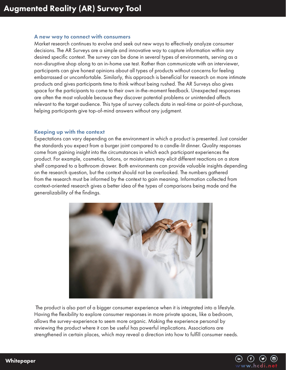#### A new way to connect with consumers

Market research continues to evolve and seek out new ways to effectively analyze consumer decisions. The AR Surveys are a simple and innovative way to capture information within any desired specific context. The survey can be done in several types of environments, serving as a non-disruptive shop along to an in-home use test. Rather than communicate with an interviewer, participants can give honest opinions about all types of products without concerns for feeling embarrassed or uncomfortable. Similarly, this approach is beneficial for research on more intimate products and gives participants time to think without being rushed. The AR Surveys also gives space for the participants to come to their own in-the-moment feedback. Unexpected responses are often the most valuable because they discover potential problems or unintended affects relevant to the target audience. This type of survey collects data in real-time or point-of-purchase, helping participants give top-of-mind answers without any judgment.

#### Keeping up with the context

Expectations can vary depending on the environment in which a product is presented. Just consider the standards you expect from a burger joint compared to a candle-lit dinner. Quality responses come from gaining insight into the circumstances in which each participant experiences the product. For example, cosmetics, lotions, or moisturizers may elicit different reactions on a store shelf compared to a bathroom drawer. Both environments can provide valuable insights depending on the research question, but the context should not be overlooked. The numbers gathered from the research must be informed by the context to gain meaning. Information collected from context-oriented research gives a better idea of the types of comparisons being made and the generalizability of the findings.



 The product is also part of a bigger consumer experience when it is integrated into a lifestyle. Having the flexibility to explore consumer responses in more private spaces, like a bedroom, allows the survey-experience to seem more organic. Making the experience personal by reviewing the product where it can be useful has powerful implications. Associations are strengthened in certain places, which may reveal a direction into how to fulfill consumer needs.